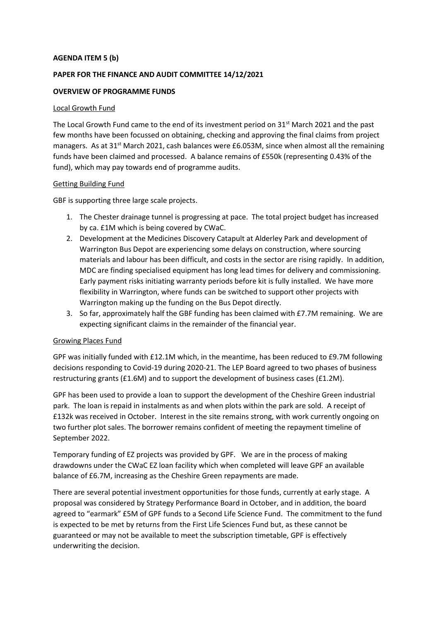## **AGENDA ITEM 5 (b)**

# **PAPER FOR THE FINANCE AND AUDIT COMMITTEE 14/12/2021**

## **OVERVIEW OF PROGRAMME FUNDS**

#### Local Growth Fund

The Local Growth Fund came to the end of its investment period on 31<sup>st</sup> March 2021 and the past few months have been focussed on obtaining, checking and approving the final claims from project managers. As at  $31^{st}$  March 2021, cash balances were £6.053M, since when almost all the remaining funds have been claimed and processed. A balance remains of £550k (representing 0.43% of the fund), which may pay towards end of programme audits.

#### Getting Building Fund

GBF is supporting three large scale projects.

- 1. The Chester drainage tunnel is progressing at pace. The total project budget has increased by ca. £1M which is being covered by CWaC.
- 2. Development at the Medicines Discovery Catapult at Alderley Park and development of Warrington Bus Depot are experiencing some delays on construction, where sourcing materials and labour has been difficult, and costs in the sector are rising rapidly. In addition, MDC are finding specialised equipment has long lead times for delivery and commissioning. Early payment risks initiating warranty periods before kit is fully installed. We have more flexibility in Warrington, where funds can be switched to support other projects with Warrington making up the funding on the Bus Depot directly.
- 3. So far, approximately half the GBF funding has been claimed with £7.7M remaining. We are expecting significant claims in the remainder of the financial year.

#### Growing Places Fund

GPF was initially funded with £12.1M which, in the meantime, has been reduced to £9.7M following decisions responding to Covid-19 during 2020-21. The LEP Board agreed to two phases of business restructuring grants (£1.6M) and to support the development of business cases (£1.2M).

GPF has been used to provide a loan to support the development of the Cheshire Green industrial park. The loan is repaid in instalments as and when plots within the park are sold. A receipt of £132k was received in October. Interest in the site remains strong, with work currently ongoing on two further plot sales. The borrower remains confident of meeting the repayment timeline of September 2022.

Temporary funding of EZ projects was provided by GPF. We are in the process of making drawdowns under the CWaC EZ loan facility which when completed will leave GPF an available balance of £6.7M, increasing as the Cheshire Green repayments are made.

There are several potential investment opportunities for those funds, currently at early stage. A proposal was considered by Strategy Performance Board in October, and in addition, the board agreed to "earmark" £5M of GPF funds to a Second Life Science Fund. The commitment to the fund is expected to be met by returns from the First Life Sciences Fund but, as these cannot be guaranteed or may not be available to meet the subscription timetable, GPF is effectively underwriting the decision.